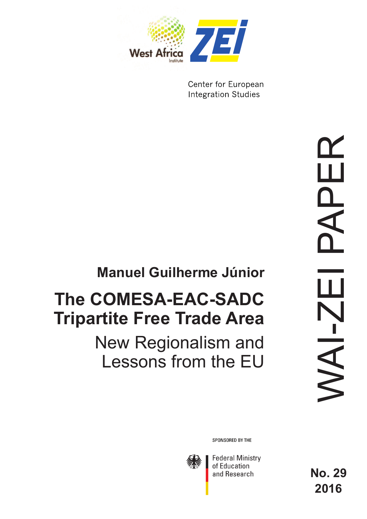

Center for European **Integration Studies** 

# **Manuel Guilherme Júnior**

# **The COMESA-EAC-SADC Tripartite Free Trade Area**

# New Regionalism and Lessons from the EU

SPONSORED BY THE



**Federal Ministry** of Education and Research

**No. 29 2016**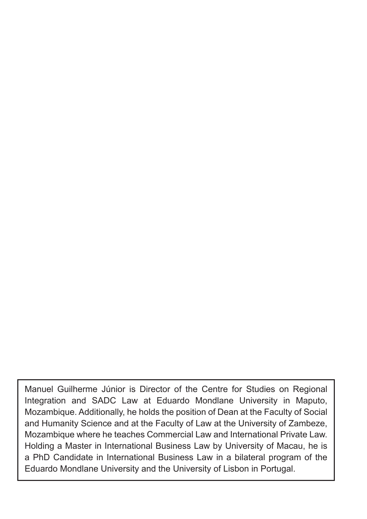Manuel Guilherme Júnior is Director of the Centre for Studies on Regional Integration and SADC Law at Eduardo Mondlane University in Maputo, Mozambique. Additionally, he holds the position of Dean at the Faculty of Social and Humanity Science and at the Faculty of Law at the University of Zambeze, Mozambique where he teaches Commercial Law and International Private Law. Holding a Master in International Business Law by University of Macau, he is a PhD Candidate in International Business Law in a bilateral program of the Eduardo Mondlane University and the University of Lisbon in Portugal.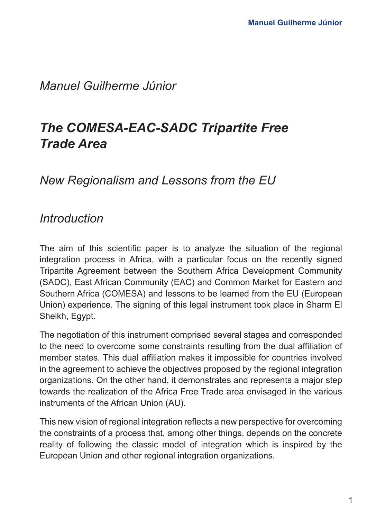## *Manuel Guilherme Júnior*

## *The COMESA-EAC-SADC Tripartite Free Trade Area*

## *New Regionalism and Lessons from the EU*

## *Introduction*

The aim of this scientific paper is to analyze the situation of the regional integration process in Africa, with a particular focus on the recently signed Tripartite Agreement between the Southern Africa Development Community (SADC), East African Community (EAC) and Common Market for Eastern and Southern Africa (COMESA) and lessons to be learned from the EU (European Union) experience. The signing of this legal instrument took place in Sharm El Sheikh, Egypt.

The negotiation of this instrument comprised several stages and corresponded to the need to overcome some constraints resulting from the dual affiliation of member states. This dual affiliation makes it impossible for countries involved in the agreement to achieve the objectives proposed by the regional integration organizations. On the other hand, it demonstrates and represents a major step towards the realization of the Africa Free Trade area envisaged in the various instruments of the African Union (AU).

This new vision of regional integration reflects a new perspective for overcoming the constraints of a process that, among other things, depends on the concrete reality of following the classic model of integration which is inspired by the European Union and other regional integration organizations.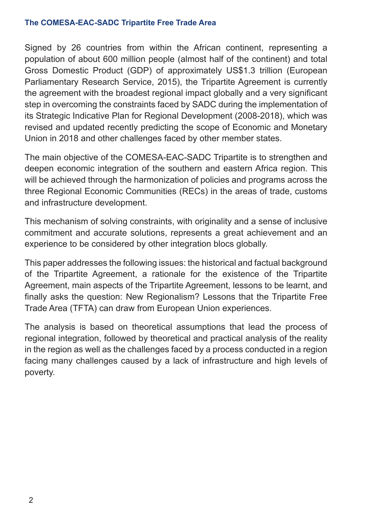Signed by 26 countries from within the African continent, representing a population of about 600 million people (almost half of the continent) and total Gross Domestic Product (GDP) of approximately US\$1.3 trillion (European Parliamentary Research Service, 2015), the Tripartite Agreement is currently the agreement with the broadest regional impact globally and a very significant step in overcoming the constraints faced by SADC during the implementation of its Strategic Indicative Plan for Regional Development (2008-2018), which was revised and updated recently predicting the scope of Economic and Monetary Union in 2018 and other challenges faced by other member states.

The main objective of the COMESA-EAC-SADC Tripartite is to strengthen and deepen economic integration of the southern and eastern Africa region. This will be achieved through the harmonization of policies and programs across the three Regional Economic Communities (RECs) in the areas of trade, customs and infrastructure development.

This mechanism of solving constraints, with originality and a sense of inclusive commitment and accurate solutions, represents a great achievement and an experience to be considered by other integration blocs globally.

This paper addresses the following issues: the historical and factual background of the Tripartite Agreement, a rationale for the existence of the Tripartite Agreement, main aspects of the Tripartite Agreement, lessons to be learnt, and finally asks the question: New Regionalism? Lessons that the Tripartite Free Trade Area (TFTA) can draw from European Union experiences.

The analysis is based on theoretical assumptions that lead the process of regional integration, followed by theoretical and practical analysis of the reality in the region as well as the challenges faced by a process conducted in a region facing many challenges caused by a lack of infrastructure and high levels of poverty.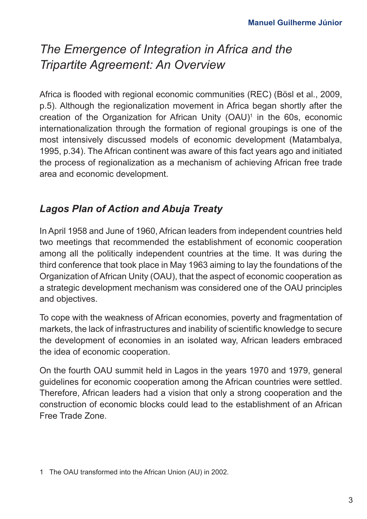## *The Emergence of Integration in Africa and the Tripartite Agreement: An Overview*

Africa is flooded with regional economic communities (REC) (Bösl et al., 2009, p.5). Although the regionalization movement in Africa began shortly after the creation of the Organization for African Unity (OAU)1 in the 60s, economic internationalization through the formation of regional groupings is one of the most intensively discussed models of economic development (Matambalya, 1995, p.34). The African continent was aware of this fact years ago and initiated the process of regionalization as a mechanism of achieving African free trade area and economic development.

## *Lagos Plan of Action and Abuja Treaty*

In April 1958 and June of 1960, African leaders from independent countries held two meetings that recommended the establishment of economic cooperation among all the politically independent countries at the time. It was during the third conference that took place in May 1963 aiming to lay the foundations of the Organization of African Unity (OAU), that the aspect of economic cooperation as a strategic development mechanism was considered one of the OAU principles and objectives.

To cope with the weakness of African economies, poverty and fragmentation of markets, the lack of infrastructures and inability of scientific knowledge to secure the development of economies in an isolated way, African leaders embraced the idea of economic cooperation.

On the fourth OAU summit held in Lagos in the years 1970 and 1979, general guidelines for economic cooperation among the African countries were settled. Therefore, African leaders had a vision that only a strong cooperation and the construction of economic blocks could lead to the establishment of an African Free Trade Zone.

<sup>1</sup> The OAU transformed into the African Union (AU) in 2002.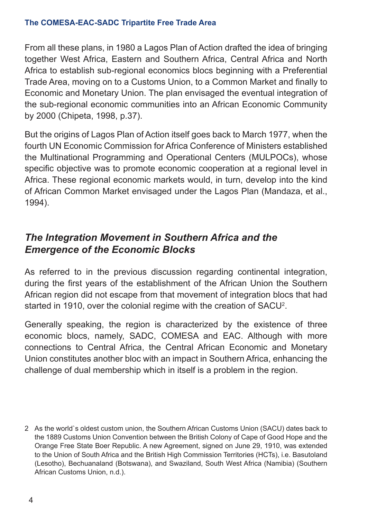From all these plans, in 1980 a Lagos Plan of Action drafted the idea of bringing together West Africa, Eastern and Southern Africa, Central Africa and North Africa to establish sub-regional economics blocs beginning with a Preferential Trade Area, moving on to a Customs Union, to a Common Market and finally to Economic and Monetary Union. The plan envisaged the eventual integration of the sub-regional economic communities into an African Economic Community by 2000 (Chipeta, 1998, p.37).

But the origins of Lagos Plan of Action itself goes back to March 1977, when the fourth UN Economic Commission for Africa Conference of Ministers established the Multinational Programming and Operational Centers (MULPOCs), whose specific objective was to promote economic cooperation at a regional level in Africa. These regional economic markets would, in turn, develop into the kind of African Common Market envisaged under the Lagos Plan (Mandaza, et al., 1994).

## *The Integration Movement in Southern Africa and the Emergence of the Economic Blocks*

As referred to in the previous discussion regarding continental integration, during the first years of the establishment of the African Union the Southern African region did not escape from that movement of integration blocs that had started in 1910, over the colonial regime with the creation of SACU<del>'</del>.

Generally speaking, the region is characterized by the existence of three economic blocs, namely, SADC, COMESA and EAC. Although with more connections to Central Africa, the Central African Economic and Monetary Union constitutes another bloc with an impact in Southern Africa, enhancing the challenge of dual membership which in itself is a problem in the region.

<sup>2</sup> As the world`s oldest custom union, the Southern African Customs Union (SACU) dates back to the 1889 Customs Union Convention between the British Colony of Cape of Good Hope and the Orange Free State Boer Republic. A new Agreement, signed on June 29, 1910, was extended to the Union of South Africa and the British High Commission Territories (HCTs), i.e. Basutoland (Lesotho), Bechuanaland (Botswana), and Swaziland, South West Africa (Namibia) (Southern African Customs Union, n.d.).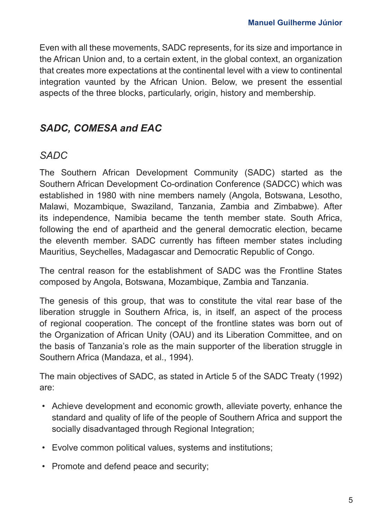Even with all these movements, SADC represents, for its size and importance in the African Union and, to a certain extent, in the global context, an organization that creates more expectations at the continental level with a view to continental integration vaunted by the African Union. Below, we present the essential aspects of the three blocks, particularly, origin, history and membership.

## *SADC, COMESA and EAC*

## *SADC*

The Southern African Development Community (SADC) started as the Southern African Development Co-ordination Conference (SADCC) which was established in 1980 with nine members namely (Angola, Botswana, Lesotho, Malawi, Mozambique, Swaziland, Tanzania, Zambia and Zimbabwe). After its independence, Namibia became the tenth member state. South Africa, following the end of apartheid and the general democratic election, became the eleventh member. SADC currently has fifteen member states including Mauritius, Seychelles, Madagascar and Democratic Republic of Congo.

The central reason for the establishment of SADC was the Frontline States composed by Angola, Botswana, Mozambique, Zambia and Tanzania.

The genesis of this group, that was to constitute the vital rear base of the liberation struggle in Southern Africa, is, in itself, an aspect of the process of regional cooperation. The concept of the frontline states was born out of the Organization of African Unity (OAU) and its Liberation Committee, and on the basis of Tanzania's role as the main supporter of the liberation struggle in Southern Africa (Mandaza, et al., 1994).

The main objectives of SADC, as stated in Article 5 of the SADC Treaty (1992) are:

- Achieve development and economic growth, alleviate poverty, enhance the standard and quality of life of the people of Southern Africa and support the socially disadvantaged through Regional Integration;
- Evolve common political values, systems and institutions;
- Promote and defend peace and security;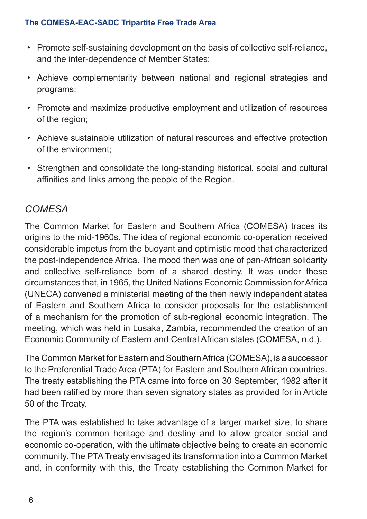- Promote self-sustaining development on the basis of collective self-reliance, and the inter-dependence of Member States;
- Achieve complementarity between national and regional strategies and programs;
- Promote and maximize productive employment and utilization of resources of the region;
- Achieve sustainable utilization of natural resources and effective protection of the environment;
- Strengthen and consolidate the long-standing historical, social and cultural affinities and links among the people of the Region.

## *COMESA*

The Common Market for Eastern and Southern Africa (COMESA) traces its origins to the mid-1960s. The idea of regional economic co-operation received considerable impetus from the buoyant and optimistic mood that characterized the post-independence Africa. The mood then was one of pan-African solidarity and collective self-reliance born of a shared destiny. It was under these circumstances that, in 1965, the United Nations Economic Commission for Africa (UNECA) convened a ministerial meeting of the then newly independent states of Eastern and Southern Africa to consider proposals for the establishment of a mechanism for the promotion of sub-regional economic integration. The meeting, which was held in Lusaka, Zambia, recommended the creation of an Economic Community of Eastern and Central African states (COMESA, n.d.).

The Common Market for Eastern and Southern Africa (COMESA), is a successor to the Preferential Trade Area (PTA) for Eastern and Southern African countries. The treaty establishing the PTA came into force on 30 September, 1982 after it had been ratified by more than seven signatory states as provided for in Article 50 of the Treaty.

The PTA was established to take advantage of a larger market size, to share the region's common heritage and destiny and to allow greater social and economic co-operation, with the ultimate objective being to create an economic community. The PTA Treaty envisaged its transformation into a Common Market and, in conformity with this, the Treaty establishing the Common Market for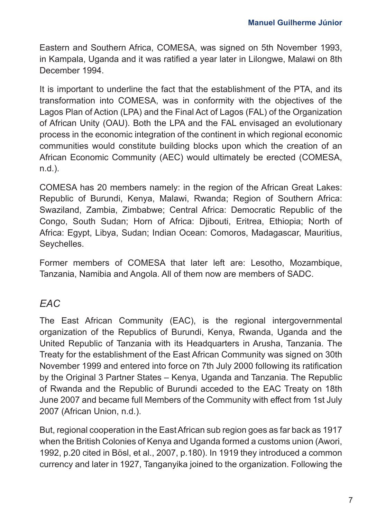Eastern and Southern Africa, COMESA, was signed on 5th November 1993, in Kampala, Uganda and it was ratified a year later in Lilongwe, Malawi on 8th December 1994.

It is important to underline the fact that the establishment of the PTA, and its transformation into COMESA, was in conformity with the objectives of the Lagos Plan of Action (LPA) and the Final Act of Lagos (FAL) of the Organization of African Unity (OAU). Both the LPA and the FAL envisaged an evolutionary process in the economic integration of the continent in which regional economic communities would constitute building blocks upon which the creation of an African Economic Community (AEC) would ultimately be erected (COMESA, n.d.).

COMESA has 20 members namely: in the region of the African Great Lakes: Republic of Burundi, Kenya, Malawi, Rwanda; Region of Southern Africa: Swaziland, Zambia, Zimbabwe; Central Africa: Democratic Republic of the Congo, South Sudan; Horn of Africa: Djibouti, Eritrea, Ethiopia; North of Africa: Egypt, Libya, Sudan; Indian Ocean: Comoros, Madagascar, Mauritius, Seychelles.

Former members of COMESA that later left are: Lesotho, Mozambique, Tanzania, Namibia and Angola. All of them now are members of SADC.

## *EAC*

The East African Community (EAC), is the regional intergovernmental organization of the Republics of Burundi, Kenya, Rwanda, Uganda and the United Republic of Tanzania with its Headquarters in Arusha, Tanzania. The Treaty for the establishment of the East African Community was signed on 30th November 1999 and entered into force on 7th July 2000 following its ratification by the Original 3 Partner States – Kenya, Uganda and Tanzania. The Republic of Rwanda and the Republic of Burundi acceded to the EAC Treaty on 18th June 2007 and became full Members of the Community with effect from 1st July 2007 (African Union, n.d.).

But, regional cooperation in the East African sub region goes as far back as 1917 when the British Colonies of Kenya and Uganda formed a customs union (Awori, 1992, p.20 cited in Bösl, et al., 2007, p.180). In 1919 they introduced a common currency and later in 1927, Tanganyika joined to the organization. Following the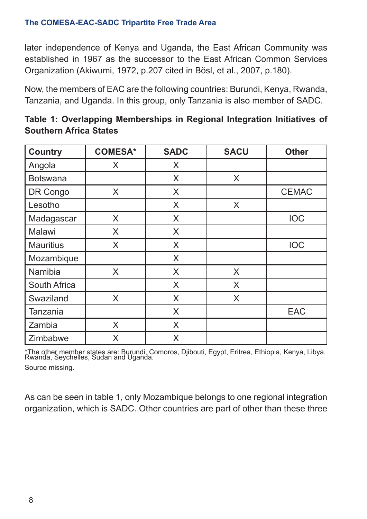later independence of Kenya and Uganda, the East African Community was established in 1967 as the successor to the East African Common Services Organization (Akiwumi, 1972, p.207 cited in Bösl, et al., 2007, p.180).

Now, the members of EAC are the following countries: Burundi, Kenya, Rwanda, Tanzania, and Uganda. In this group, only Tanzania is also member of SADC.

| <b>Country</b>   | <b>COMESA*</b> | <b>SADC</b> | <b>SACU</b> | <b>Other</b> |
|------------------|----------------|-------------|-------------|--------------|
| Angola           | X              | X           |             |              |
| <b>Botswana</b>  |                | X           | X           |              |
| DR Congo         | X              | X           |             | <b>CEMAC</b> |
| Lesotho          |                | X           | X           |              |
| Madagascar       | X              | X           |             | <b>IOC</b>   |
| Malawi           | X              | X           |             |              |
| <b>Mauritius</b> | X              | X           |             | <b>IOC</b>   |
| Mozambique       |                | X           |             |              |
| Namibia          | X              | X           | X           |              |
| South Africa     |                | X           | X           |              |
| Swaziland        | X              | X           | X           |              |
| Tanzania         |                | X           |             | <b>EAC</b>   |
| Zambia           | X              | X           |             |              |
| Zimbabwe         | X              | X           |             |              |

| Table 1: Overlapping Memberships in Regional Integration Initiatives of |  |  |  |  |
|-------------------------------------------------------------------------|--|--|--|--|
| Southern Africa States                                                  |  |  |  |  |

\*The other member states are: Burundi, Comoros, Djibouti, Egypt, Eritrea, Ethiopia, Kenya, Libya, Rwanda, Seychelles, Sudan and Uganda. Source missing.

As can be seen in table 1, only Mozambique belongs to one regional integration organization, which is SADC. Other countries are part of other than these three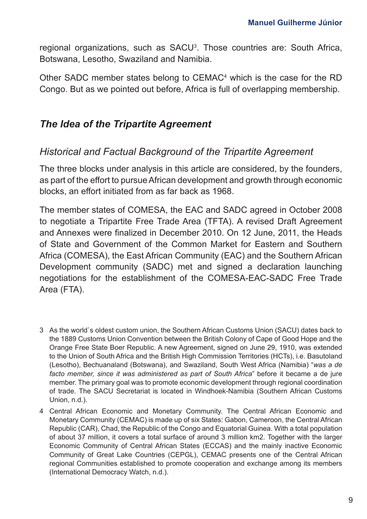regional organizations, such as SACU<sup>3</sup>. Those countries are: South Africa, Botswana, Lesotho, Swaziland and Namibia.

Other SADC member states belong to CEMAC<sup>4</sup> which is the case for the RD Congo. But as we pointed out before, Africa is full of overlapping membership.

### *The Idea of the Tripartite Agreement*

#### *Historical and Factual Background of the Tripartite Agreement*

The three blocks under analysis in this article are considered, by the founders, as part of the effort to pursue African development and growth through economic blocks, an effort initiated from as far back as 1968.

The member states of COMESA, the EAC and SADC agreed in October 2008 to negotiate a Tripartite Free Trade Area (TFTA). A revised Draft Agreement and Annexes were finalized in December 2010. On 12 June, 2011, the Heads of State and Government of the Common Market for Eastern and Southern Africa (COMESA), the East African Community (EAC) and the Southern African Development community (SADC) met and signed a declaration launching negotiations for the establishment of the COMESA-EAC-SADC Free Trade Area (FTA).

- 3 As the world`s oldest custom union, the Southern African Customs Union (SACU) dates back to the 1889 Customs Union Convention between the British Colony of Cape of Good Hope and the Orange Free State Boer Republic. A new Agreement, signed on June 29, 1910, was extended to the Union of South Africa and the British High Commission Territories (HCTs), i.e. Basutoland (Lesotho), Bechuanaland (Botswana), and Swaziland, South West Africa (Namibia) "*was a de facto member, since it was administered as part of South Africa*" before it became a de jure member. The primary goal was to promote economic development through regional coordination of trade. The SACU Secretariat is located in Windhoek-Namibia (Southern African Customs Union, n.d.).
- 4 Central African Economic and Monetary Community. The Central African Economic and Monetary Community (CEMAC) is made up of six States: Gabon, Cameroon, the Central African Republic (CAR), Chad, the Republic of the Congo and Equatorial Guinea. With a total population of about 37 million, it covers a total surface of around 3 million km2. Together with the larger Economic Community of Central African States (ECCAS) and the mainly inactive Economic Community of Great Lake Countries (CEPGL), CEMAC presents one of the Central African regional Communities established to promote cooperation and exchange among its members (International Democracy Watch, n.d.).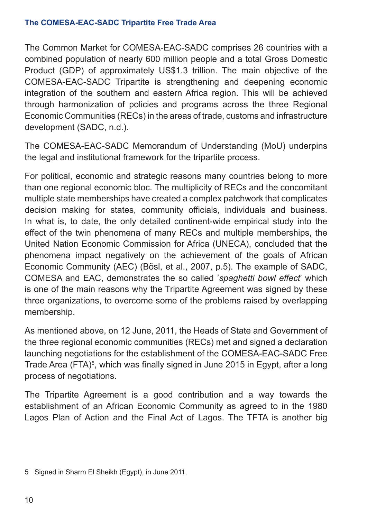The Common Market for COMESA-EAC-SADC comprises 26 countries with a combined population of nearly 600 million people and a total Gross Domestic Product (GDP) of approximately US\$1.3 trillion. The main objective of the COMESA-EAC-SADC Tripartite is strengthening and deepening economic integration of the southern and eastern Africa region. This will be achieved through harmonization of policies and programs across the three Regional Economic Communities (RECs) in the areas of trade, customs and infrastructure development (SADC, n.d.).

The COMESA-EAC-SADC Memorandum of Understanding (MoU) underpins the legal and institutional framework for the tripartite process.

For political, economic and strategic reasons many countries belong to more than one regional economic bloc. The multiplicity of RECs and the concomitant multiple state memberships have created a complex patchwork that complicates decision making for states, community officials, individuals and business. In what is, to date, the only detailed continent-wide empirical study into the effect of the twin phenomena of many RECs and multiple memberships, the United Nation Economic Commission for Africa (UNECA), concluded that the phenomena impact negatively on the achievement of the goals of African Economic Community (AEC) (Bösl, et al., 2007, p.5). The example of SADC, COMESA and EAC, demonstrates the so called '*spaghetti bowl effect*' which is one of the main reasons why the Tripartite Agreement was signed by these three organizations, to overcome some of the problems raised by overlapping membership.

As mentioned above, on 12 June, 2011, the Heads of State and Government of the three regional economic communities (RECs) met and signed a declaration launching negotiations for the establishment of the COMESA-EAC-SADC Free Trade Area (FTA)<sup>5</sup>, which was finally signed in June 2015 in Egypt, after a long process of negotiations.

The Tripartite Agreement is a good contribution and a way towards the establishment of an African Economic Community as agreed to in the 1980 Lagos Plan of Action and the Final Act of Lagos. The TFTA is another big

<sup>5</sup> Signed in Sharm El Sheikh (Egypt), in June 2011.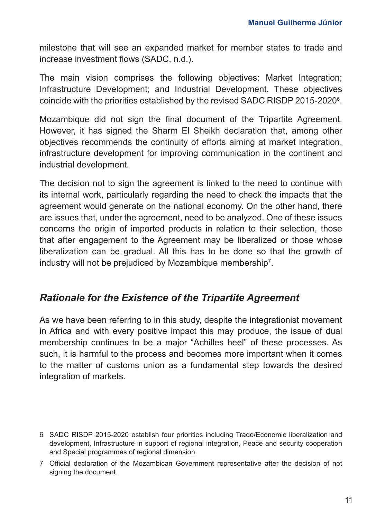milestone that will see an expanded market for member states to trade and increase investment flows (SADC, n.d.).

The main vision comprises the following objectives: Market Integration; Infrastructure Development; and Industrial Development. These objectives coincide with the priorities established by the revised SADC RISDP 2015-2020 $^{\circ}$ .

Mozambique did not sign the final document of the Tripartite Agreement. However, it has signed the Sharm El Sheikh declaration that, among other objectives recommends the continuity of efforts aiming at market integration, infrastructure development for improving communication in the continent and industrial development.

The decision not to sign the agreement is linked to the need to continue with its internal work, particularly regarding the need to check the impacts that the agreement would generate on the national economy. On the other hand, there are issues that, under the agreement, need to be analyzed. One of these issues concerns the origin of imported products in relation to their selection, those that after engagement to the Agreement may be liberalized or those whose liberalization can be gradual. All this has to be done so that the growth of industry will not be prejudiced by Mozambique membership $^7\!.$ 

### *Rationale for the Existence of the Tripartite Agreement*

As we have been referring to in this study, despite the integrationist movement in Africa and with every positive impact this may produce, the issue of dual membership continues to be a major "Achilles heel" of these processes. As such, it is harmful to the process and becomes more important when it comes to the matter of customs union as a fundamental step towards the desired integration of markets.

<sup>6</sup> SADC RISDP 2015-2020 establish four priorities including Trade/Economic liberalization and development, Infrastructure in support of regional integration, Peace and security cooperation and Special programmes of regional dimension.

<sup>7</sup> Official declaration of the Mozambican Government representative after the decision of not signing the document.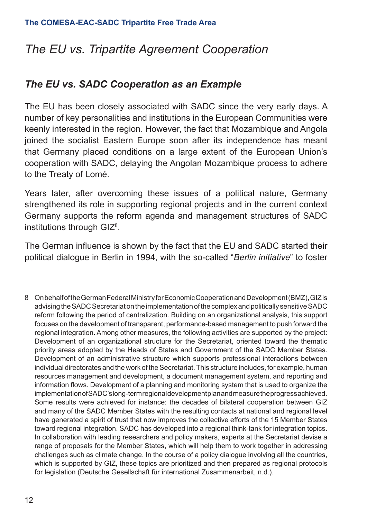## *The EU vs. Tripartite Agreement Cooperation*

## *The EU vs. SADC Cooperation as an Example*

The EU has been closely associated with SADC since the very early days. A number of key personalities and institutions in the European Communities were keenly interested in the region. However, the fact that Mozambique and Angola joined the socialist Eastern Europe soon after its independence has meant that Germany placed conditions on a large extent of the European Union's cooperation with SADC, delaying the Angolan Mozambique process to adhere to the Treaty of Lomé.

Years later, after overcoming these issues of a political nature, Germany strengthened its role in supporting regional projects and in the current context Germany supports the reform agenda and management structures of SADC institutions through GIZ $^{\rm 8}$ .

The German influence is shown by the fact that the EU and SADC started their political dialogue in Berlin in 1994, with the so-called "*Berlin initiative*" to foster

8 On behalf of the German Federal Ministry for Economic Cooperation and Development (BMZ), GIZ is advising the SADC Secretariat on the implementation of the complex and politically sensitive SADC reform following the period of centralization. Building on an organizational analysis, this support focuses on the development of transparent, performance-based management to push forward the regional integration. Among other measures, the following activities are supported by the project: Development of an organizational structure for the Secretariat, oriented toward the thematic priority areas adopted by the Heads of States and Government of the SADC Member States. Development of an administrative structure which supports professional interactions between individual directorates and the work of the Secretariat. This structure includes, for example, human resources management and development, a document management system, and reporting and information flows. Development of a planning and monitoring system that is used to organize the implementation of SADC's long-term regional development plan and measure the progress achieved. Some results were achieved for instance: the decades of bilateral cooperation between GIZ and many of the SADC Member States with the resulting contacts at national and regional level have generated a spirit of trust that now improves the collective efforts of the 15 Member States toward regional integration. SADC has developed into a regional think-tank for integration topics. In collaboration with leading researchers and policy makers, experts at the Secretariat devise a range of proposals for the Member States, which will help them to work together in addressing challenges such as climate change. In the course of a policy dialogue involving all the countries, which is supported by GIZ, these topics are prioritized and then prepared as regional protocols for legislation (Deutsche Gesellschaft für international Zusammenarbeit, n.d.).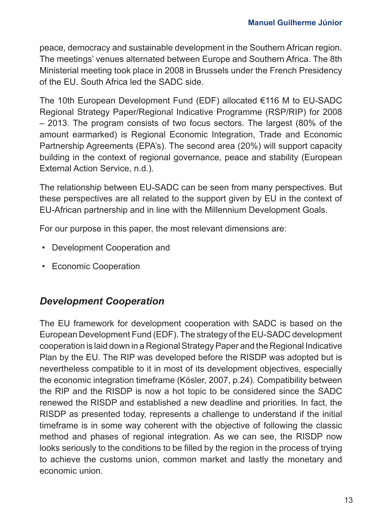peace, democracy and sustainable development in the Southern African region. The meetings' venues alternated between Europe and Southern Africa. The 8th Ministerial meeting took place in 2008 in Brussels under the French Presidency of the EU. South Africa led the SADC side.

The 10th European Development Fund (EDF) allocated €116 M to EU-SADC Regional Strategy Paper/Regional Indicative Programme (RSP/RIP) for 2008 – 2013. The program consists of two focus sectors. The largest (80% of the amount earmarked) is Regional Economic Integration, Trade and Economic Partnership Agreements (EPA's). The second area (20%) will support capacity building in the context of regional governance, peace and stability (European External Action Service, n.d.).

The relationship between EU-SADC can be seen from many perspectives. But these perspectives are all related to the support given by EU in the context of EU-African partnership and in line with the Millennium Development Goals.

For our purpose in this paper, the most relevant dimensions are:

- Development Cooperation and
- Economic Cooperation

### *Development Cooperation*

The EU framework for development cooperation with SADC is based on the European Development Fund (EDF). The strategy of the EU-SADC development cooperation is laid down in a Regional Strategy Paper and the Regional Indicative Plan by the EU. The RIP was developed before the RISDP was adopted but is nevertheless compatible to it in most of its development objectives, especially the economic integration timeframe (Kösler, 2007, p.24). Compatibility between the RIP and the RISDP is now a hot topic to be considered since the SADC renewed the RISDP and established a new deadline and priorities. In fact, the RISDP as presented today, represents a challenge to understand if the initial timeframe is in some way coherent with the objective of following the classic method and phases of regional integration. As we can see, the RISDP now looks seriously to the conditions to be filled by the region in the process of trying to achieve the customs union, common market and lastly the monetary and economic union.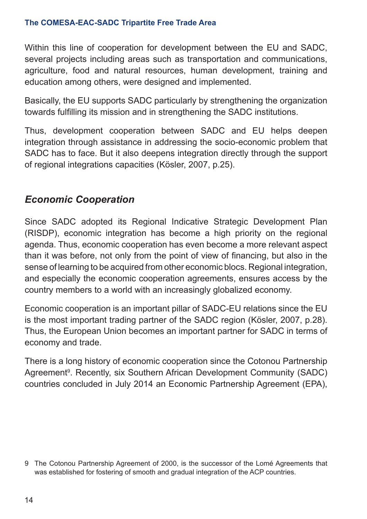Within this line of cooperation for development between the EU and SADC, several projects including areas such as transportation and communications, agriculture, food and natural resources, human development, training and education among others, were designed and implemented.

Basically, the EU supports SADC particularly by strengthening the organization towards fulfilling its mission and in strengthening the SADC institutions.

Thus, development cooperation between SADC and EU helps deepen integration through assistance in addressing the socio-economic problem that SADC has to face. But it also deepens integration directly through the support of regional integrations capacities (Kösler, 2007, p.25).

## *Economic Cooperation*

Since SADC adopted its Regional Indicative Strategic Development Plan (RISDP), economic integration has become a high priority on the regional agenda. Thus, economic cooperation has even become a more relevant aspect than it was before, not only from the point of view of financing, but also in the sense of learning to be acquired from other economic blocs. Regional integration, and especially the economic cooperation agreements, ensures access by the country members to a world with an increasingly globalized economy.

Economic cooperation is an important pillar of SADC-EU relations since the EU is the most important trading partner of the SADC region (Kösler, 2007, p.28). Thus, the European Union becomes an important partner for SADC in terms of economy and trade.

There is a long history of economic cooperation since the Cotonou Partnership Agreement<sup>9</sup>. Recently, six Southern African Development Community (SADC) countries concluded in July 2014 an Economic Partnership Agreement (EPA),

<sup>9</sup> The Cotonou Partnership Agreement of 2000, is the successor of the Lomé Agreements that was established for fostering of smooth and gradual integration of the ACP countries.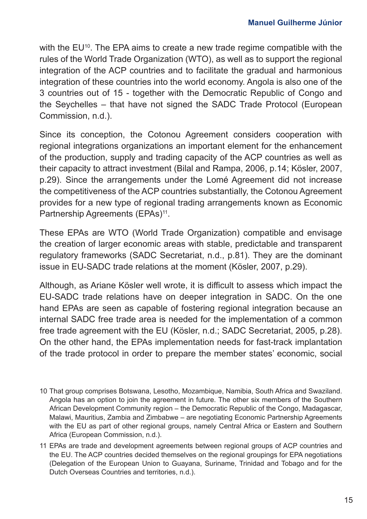with the EU<sup>10</sup>. The EPA aims to create a new trade regime compatible with the rules of the World Trade Organization (WTO), as well as to support the regional integration of the ACP countries and to facilitate the gradual and harmonious integration of these countries into the world economy. Angola is also one of the 3 countries out of 15 - together with the Democratic Republic of Congo and the Seychelles – that have not signed the SADC Trade Protocol (European Commission, n.d.).

Since its conception, the Cotonou Agreement considers cooperation with regional integrations organizations an important element for the enhancement of the production, supply and trading capacity of the ACP countries as well as their capacity to attract investment (Bilal and Rampa, 2006, p.14; Kösler, 2007, p.29). Since the arrangements under the Lomé Agreement did not increase the competitiveness of the ACP countries substantially, the Cotonou Agreement provides for a new type of regional trading arrangements known as Economic Partnership Agreements (EPAs)<sup>11</sup>.

These EPAs are WTO (World Trade Organization) compatible and envisage the creation of larger economic areas with stable, predictable and transparent regulatory frameworks (SADC Secretariat, n.d., p.81). They are the dominant issue in EU-SADC trade relations at the moment (Kösler, 2007, p.29).

Although, as Ariane Kösler well wrote, it is difficult to assess which impact the EU-SADC trade relations have on deeper integration in SADC. On the one hand EPAs are seen as capable of fostering regional integration because an internal SADC free trade area is needed for the implementation of a common free trade agreement with the EU (Kösler, n.d.; SADC Secretariat, 2005, p.28). On the other hand, the EPAs implementation needs for fast-track implantation of the trade protocol in order to prepare the member states' economic, social

<sup>10</sup> That group comprises Botswana, Lesotho, Mozambique, Namibia, South Africa and Swaziland. Angola has an option to join the agreement in future. The other six members of the Southern African Development Community region – the Democratic Republic of the Congo, Madagascar, Malawi, Mauritius, Zambia and Zimbabwe – are negotiating Economic Partnership Agreements with the EU as part of other regional groups, namely Central Africa or Eastern and Southern Africa (European Commission, n.d.).

<sup>11</sup> EPAs are trade and development agreements between regional groups of ACP countries and the EU. The ACP countries decided themselves on the regional groupings for EPA negotiations (Delegation of the European Union to Guayana, Suriname, Trinidad and Tobago and for the Dutch Overseas Countries and territories, n.d.).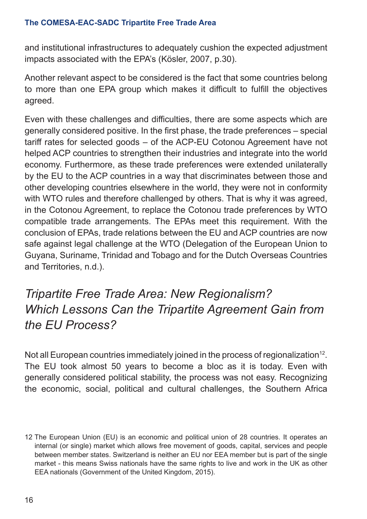and institutional infrastructures to adequately cushion the expected adjustment impacts associated with the EPA's (Kösler, 2007, p.30).

Another relevant aspect to be considered is the fact that some countries belong to more than one EPA group which makes it difficult to fulfill the objectives agreed.

Even with these challenges and difficulties, there are some aspects which are generally considered positive. In the first phase, the trade preferences – special tariff rates for selected goods – of the ACP-EU Cotonou Agreement have not helped ACP countries to strengthen their industries and integrate into the world economy. Furthermore, as these trade preferences were extended unilaterally by the EU to the ACP countries in a way that discriminates between those and other developing countries elsewhere in the world, they were not in conformity with WTO rules and therefore challenged by others. That is why it was agreed, in the Cotonou Agreement, to replace the Cotonou trade preferences by WTO compatible trade arrangements. The EPAs meet this requirement. With the conclusion of EPAs, trade relations between the EU and ACP countries are now safe against legal challenge at the WTO (Delegation of the European Union to Guyana, Suriname, Trinidad and Tobago and for the Dutch Overseas Countries and Territories, n.d.).

## *Tripartite Free Trade Area: New Regionalism? Which Lessons Can the Tripartite Agreement Gain from the EU Process?*

Not all European countries immediately joined in the process of regionalization<sup>12</sup>. The EU took almost 50 years to become a bloc as it is today. Even with generally considered political stability, the process was not easy. Recognizing the economic, social, political and cultural challenges, the Southern Africa

<sup>12</sup> The European Union (EU) is an economic and political union of 28 countries. It operates an internal (or single) market which allows free movement of goods, capital, services and people between member states. Switzerland is neither an EU nor EEA member but is part of the single market - this means Swiss nationals have the same rights to live and work in the UK as other EEA nationals (Government of the United Kingdom, 2015).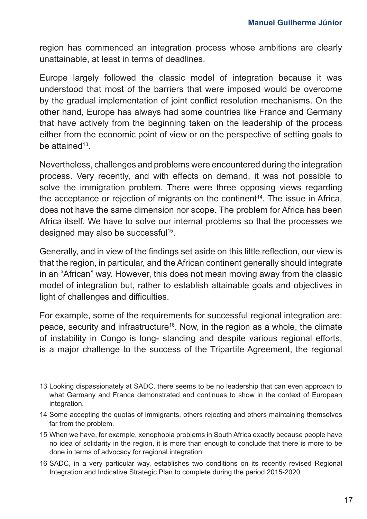region has commenced an integration process whose ambitions are clearly unattainable, at least in terms of deadlines.

Europe largely followed the classic model of integration because it was understood that most of the barriers that were imposed would be overcome by the gradual implementation of joint conflict resolution mechanisms. On the other hand, Europe has always had some countries like France and Germany that have actively from the beginning taken on the leadership of the process either from the economic point of view or on the perspective of setting goals to be attained<sup>13</sup>

Nevertheless, challenges and problems were encountered during the integration process. Very recently, and with effects on demand, it was not possible to solve the immigration problem. There were three opposing views regarding the acceptance or rejection of migrants on the continent<sup>14</sup>. The issue in Africa, does not have the same dimension nor scope. The problem for Africa has been Africa itself. We have to solve our internal problems so that the processes we designed may also be successful<sup>15</sup>.

Generally, and in view of the findings set aside on this little reflection, our view is that the region, in particular, and the African continent generally should integrate in an "African" way. However, this does not mean moving away from the classic model of integration but, rather to establish attainable goals and objectives in light of challenges and difficulties.

For example, some of the requirements for successful regional integration are: peace, security and infrastructure<sup>16</sup>. Now, in the region as a whole, the climate of instability in Congo is long- standing and despite various regional efforts, is a major challenge to the success of the Tripartite Agreement, the regional

- 13 Looking dispassionately at SADC, there seems to be no leadership that can even approach to what Germany and France demonstrated and continues to show in the context of European integration.
- 14 Some accepting the quotas of immigrants, others rejecting and others maintaining themselves far from the problem.
- 15 When we have, for example, xenophobia problems in South Africa exactly because people have no idea of solidarity in the region, it is more than enough to conclude that there is more to be done in terms of advocacy for regional integration.
- 16 SADC, in a very particular way, establishes two conditions on its recently revised Regional Integration and Indicative Strategic Plan to complete during the period 2015-2020.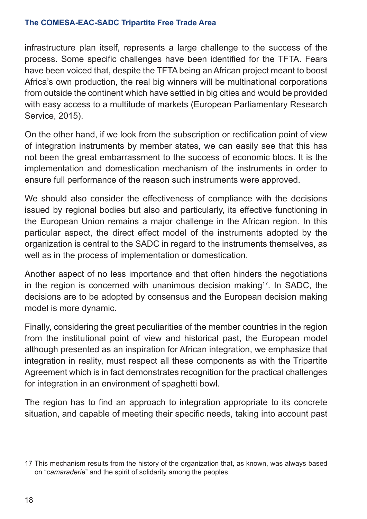infrastructure plan itself, represents a large challenge to the success of the process. Some specific challenges have been identified for the TFTA. Fears have been voiced that, despite the TFTA being an African project meant to boost Africa's own production, the real big winners will be multinational corporations from outside the continent which have settled in big cities and would be provided with easy access to a multitude of markets (European Parliamentary Research Service, 2015).

On the other hand, if we look from the subscription or rectification point of view of integration instruments by member states, we can easily see that this has not been the great embarrassment to the success of economic blocs. It is the implementation and domestication mechanism of the instruments in order to ensure full performance of the reason such instruments were approved.

We should also consider the effectiveness of compliance with the decisions issued by regional bodies but also and particularly, its effective functioning in the European Union remains a major challenge in the African region. In this particular aspect, the direct effect model of the instruments adopted by the organization is central to the SADC in regard to the instruments themselves, as well as in the process of implementation or domestication.

Another aspect of no less importance and that often hinders the negotiations in the region is concerned with unanimous decision making<sup>17</sup>. In SADC, the decisions are to be adopted by consensus and the European decision making model is more dynamic.

Finally, considering the great peculiarities of the member countries in the region from the institutional point of view and historical past, the European model although presented as an inspiration for African integration, we emphasize that integration in reality, must respect all these components as with the Tripartite Agreement which is in fact demonstrates recognition for the practical challenges for integration in an environment of spaghetti bowl.

The region has to find an approach to integration appropriate to its concrete situation, and capable of meeting their specific needs, taking into account past

<sup>17</sup> This mechanism results from the history of the organization that, as known, was always based on "*camaraderie*" and the spirit of solidarity among the peoples.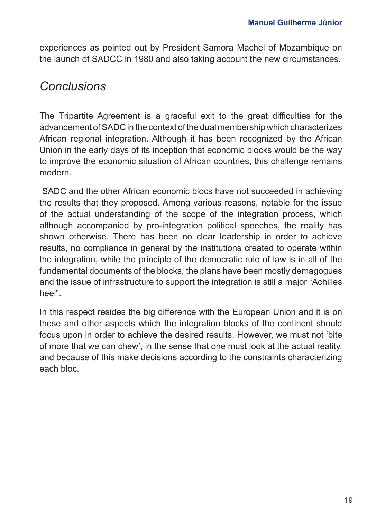experiences as pointed out by President Samora Machel of Mozambique on the launch of SADCC in 1980 and also taking account the new circumstances.

## *Conclusions*

The Tripartite Agreement is a graceful exit to the great difficulties for the advancement of SADC in the context of the dual membership which characterizes African regional integration. Although it has been recognized by the African Union in the early days of its inception that economic blocks would be the way to improve the economic situation of African countries, this challenge remains modern.

 SADC and the other African economic blocs have not succeeded in achieving the results that they proposed. Among various reasons, notable for the issue of the actual understanding of the scope of the integration process, which although accompanied by pro-integration political speeches, the reality has shown otherwise. There has been no clear leadership in order to achieve results, no compliance in general by the institutions created to operate within the integration, while the principle of the democratic rule of law is in all of the fundamental documents of the blocks, the plans have been mostly demagogues and the issue of infrastructure to support the integration is still a major "Achilles heel".

In this respect resides the big difference with the European Union and it is on these and other aspects which the integration blocks of the continent should focus upon in order to achieve the desired results. However, we must not 'bite of more that we can chew', in the sense that one must look at the actual reality, and because of this make decisions according to the constraints characterizing each bloc.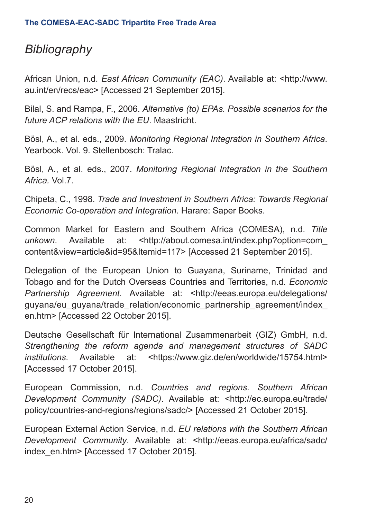## *Bibliography*

African Union, n.d. *East African Community (EAC)*. Available at: <http://www. au.int/en/recs/eac> [Accessed 21 September 2015].

Bilal, S. and Rampa, F., 2006. *Alternative (to) EPAs. Possible scenarios for the future ACP relations with the EU*. Maastricht.

Bösl, A., et al. eds., 2009. *Monitoring Regional Integration in Southern Africa*. Yearbook. Vol. 9. Stellenbosch: Tralac.

Bösl, A., et al. eds., 2007. *Monitoring Regional Integration in the Southern Africa.* Vol.7.

Chipeta, C., 1998. *Trade and Investment in Southern Africa: Towards Regional Economic Co-operation and Integration*. Harare: Saper Books.

Common Market for Eastern and Southern Africa (COMESA), n.d. *Title unkown*. Available at: <http://about.comesa.int/index.php?option=com\_ content&view=article&id=95&Itemid=117> [Accessed 21 September 2015].

Delegation of the European Union to Guayana, Suriname, Trinidad and Tobago and for the Dutch Overseas Countries and Territories, n.d. *Economic Partnership Agreement.* Available at: <http://eeas.europa.eu/delegations/ guyana/eu\_guyana/trade\_relation/economic\_partnership\_agreement/index\_ en.htm> [Accessed 22 October 2015].

Deutsche Gesellschaft für International Zusammenarbeit (GIZ) GmbH, n.d. *Strengthening the reform agenda and management structures of SADC institutions*. Available at: <https://www.giz.de/en/worldwide/15754.html> [Accessed 17 October 2015].

European Commission, n.d. *Countries and regions. Southern African Development Community (SADC)*. Available at: <http://ec.europa.eu/trade/ policy/countries-and-regions/regions/sadc/> [Accessed 21 October 2015].

European External Action Service, n.d. *EU relations with the Southern African Development Community*. Available at: <http://eeas.europa.eu/africa/sadc/ index\_en.htm> [Accessed 17 October 2015].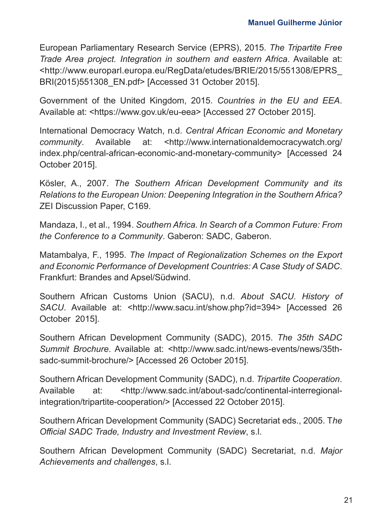European Parliamentary Research Service (EPRS), 2015. *The Tripartite Free Trade Area project. Integration in southern and eastern Africa*. Available at: <http://www.europarl.europa.eu/RegData/etudes/BRIE/2015/551308/EPRS\_ BRI(2015)551308\_EN.pdf> [Accessed 31 October 2015].

Government of the United Kingdom, 2015. *Countries in the EU and EEA*. Available at: <https://www.gov.uk/eu-eea> [Accessed 27 October 2015].

International Democracy Watch, n.d. *Central African Economic and Monetary community*. Available at: <http://www.internationaldemocracywatch.org/ index.php/central-african-economic-and-monetary-community> [Accessed 24 October 2015].

Kösler, A., 2007. *The Southern African Development Community and its Relations to the European Union: Deepening Integration in the Southern Africa?*  ZEI Discussion Paper, C169.

Mandaza, I., et al., 1994. *Southern Africa. In Search of a Common Future: From the Conference to a Community*. Gaberon: SADC, Gaberon.

Matambalya, F., 1995. *The Impact of Regionalization Schemes on the Export and Economic Performance of Development Countries: A Case Study of SADC*. Frankfurt: Brandes and Apsel/Südwind.

Southern African Customs Union (SACU), n.d. *About SACU. History of SACU.* Available at: <http://www.sacu.int/show.php?id=394> [Accessed 26] October 2015].

Southern African Development Community (SADC), 2015. *The 35th SADC Summit Brochure*. Available at: <http://www.sadc.int/news-events/news/35thsadc-summit-brochure/> [Accessed 26 October 2015].

Southern African Development Community (SADC), n.d. *Tripartite Cooperation*. Available at: <http://www.sadc.int/about-sadc/continental-interregionalintegration/tripartite-cooperation/> [Accessed 22 October 2015].

Southern African Development Community (SADC) Secretariat eds., 2005. T*he Official SADC Trade, Industry and Investment Review*, s.l.

Southern African Development Community (SADC) Secretariat, n.d. *Major Achievements and challenges*, s.l.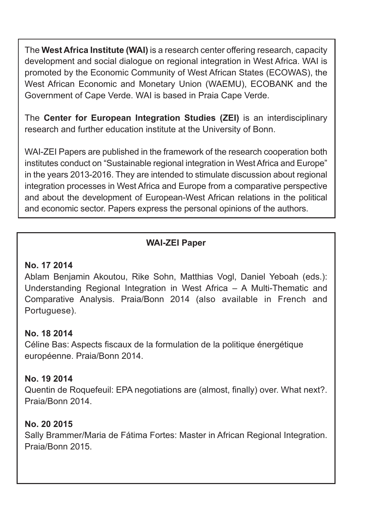The **West Africa Institute (WAI)** is a research center offering research, capacity development and social dialogue on regional integration in West Africa. WAI is promoted by the Economic Community of West African States (ECOWAS), the West African Economic and Monetary Union (WAEMU), ECOBANK and the Government of Cape Verde. WAI is based in Praia Cape Verde.

The **Center for European Integration Studies (ZEI)** is an interdisciplinary research and further education institute at the University of Bonn.

WAI-ZEI Papers are published in the framework of the research cooperation both institutes conduct on "Sustainable regional integration in West Africa and Europe" in the years 2013-2016. They are intended to stimulate discussion about regional integration processes in West Africa and Europe from a comparative perspective and about the development of European-West African relations in the political and economic sector. Papers express the personal opinions of the authors.

## **WAI-ZEI Paper**

#### **No. 17 2014**

Ablam Benjamin Akoutou, Rike Sohn, Matthias Vogl, Daniel Yeboah (eds.): Understanding Regional Integration in West Africa – A Multi-Thematic and Comparative Analysis. Praia/Bonn 2014 (also available in French and Portuguese).

### **No. 18 2014**

Céline Bas: Aspects fiscaux de la formulation de la politique énergétique européenne. Praia/Bonn 2014.

#### **No. 19 2014**

Quentin de Roquefeuil: EPA negotiations are (almost, finally) over. What next?. Praia/Bonn 2014.

#### **No. 20 2015**

Sally Brammer/Maria de Fátima Fortes: Master in African Regional Integration. Praia/Bonn 2015.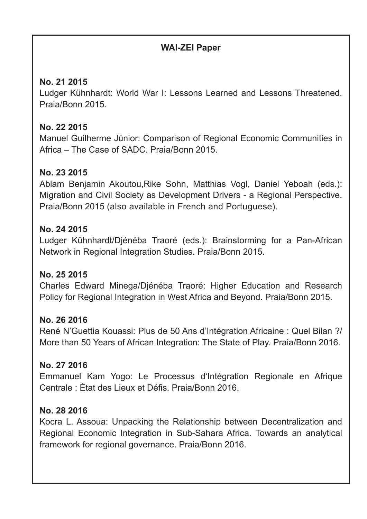### **WAI-ZEI Paper**

#### **No. 21 2015**

Ludger Kühnhardt: World War I: Lessons Learned and Lessons Threatened. Praia/Bonn 2015.

#### **No. 22 2015**

Manuel Guilherme Júnior: Comparison of Regional Economic Communities in Africa – The Case of SADC. Praia/Bonn 2015.

### **No. 23 2015**

Ablam Benjamin Akoutou,Rike Sohn, Matthias Vogl, Daniel Yeboah (eds.): Migration and Civil Society as Development Drivers - a Regional Perspective. Praia/Bonn 2015 (also available in French and Portuguese).

#### **No. 24 2015**

Ludger Kühnhardt/Djénéba Traoré (eds.): Brainstorming for a Pan-African Network in Regional Integration Studies. Praia/Bonn 2015.

#### **No. 25 2015**

Charles Edward Minega/Djénéba Traoré: Higher Education and Research Policy for Regional Integration in West Africa and Beyond. Praia/Bonn 2015.

#### **No. 26 2016**

René N'Guettia Kouassi: Plus de 50 Ans d'Intégration Africaine : Quel Bilan ?/ More than 50 Years of African Integration: The State of Play. Praia/Bonn 2016.

### **No. 27 2016**

Emmanuel Kam Yogo: Le Processus d'Intégration Regionale en Afrique Centrale : État des Lieux et Défis. Praia/Bonn 2016.

### **No. 28 2016**

Kocra L. Assoua: Unpacking the Relationship between Decentralization and Regional Economic Integration in Sub-Sahara Africa. Towards an analytical framework for regional governance. Praia/Bonn 2016.